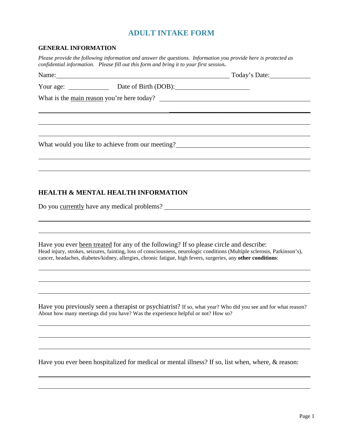# **ADULT INTAKE FORM**

#### **GENERAL INFORMATION**

*Please provide the following information and answer the questions. Information you provide here is protected as confidential information. Please fill out this form and bring it to your first session***.** 

| Name: Name and the second contract of the second contract of the second contract of the second contract of the second contract of the second contract of the second contract of the second contract of the second contract of | Today's Date: |
|-------------------------------------------------------------------------------------------------------------------------------------------------------------------------------------------------------------------------------|---------------|
| Your age: Date of Birth (DOB):                                                                                                                                                                                                |               |
| What is the <u>main reason</u> you're here today?                                                                                                                                                                             |               |
|                                                                                                                                                                                                                               |               |
|                                                                                                                                                                                                                               |               |
|                                                                                                                                                                                                                               |               |
| What would you like to achieve from our meeting?                                                                                                                                                                              |               |
|                                                                                                                                                                                                                               |               |
|                                                                                                                                                                                                                               |               |

### **HEALTH & MENTAL HEALTH INFORMATION**

Do you currently have any medical problems?

Have you ever been treated for any of the following? If so please circle and describe: Head injury, strokes, seizures, fainting, loss of consciousness, neurologic conditions (Multiple sclerosis, Parkinson's), cancer, headaches, diabetes/kidney, allergies, chronic fatigue, high fevers, surgeries, any **other conditions**:

Have you previously seen a therapist or psychiatrist? If so, what year? Who did you see and for what reason? About how many meetings did you have? Was the experience helpful or not? How so?

Have you ever been hospitalized for medical or mental illness? If so, list when, where, & reason: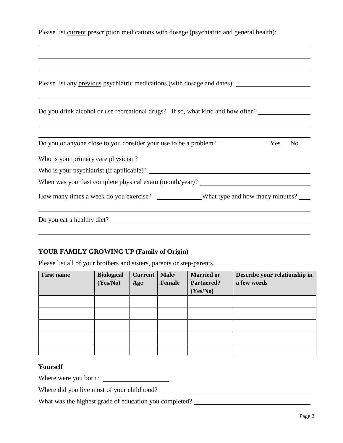| Please list current prescription medications with dosage (psychiatric and general health): |  |  |  |
|--------------------------------------------------------------------------------------------|--|--|--|
|--------------------------------------------------------------------------------------------|--|--|--|

| Please list any previous psychiatric medications (with dosage and dates): __________________________ |        |
|------------------------------------------------------------------------------------------------------|--------|
| Do you drink alcohol or use recreational drugs? If so, what kind and how often?                      |        |
| Do you or anyone close to you consider your use to be a problem?                                     | Yes No |
|                                                                                                      |        |
|                                                                                                      |        |
|                                                                                                      |        |
| How many times a week do you exercise? _____________What type and how many minutes? ____             |        |

## **YOUR FAMILY GROWING UP (Family of Origin)**

Please list all of your brothers and sisters, parents or step-parents.

| <b>First name</b> | <b>Biological</b><br>(Yes/No) | Current  <br>Age | Male/<br>Female | <b>Married or</b><br>Partnered?<br>(Yes/No) | Describe your relationship in<br>a few words |
|-------------------|-------------------------------|------------------|-----------------|---------------------------------------------|----------------------------------------------|
|                   |                               |                  |                 |                                             |                                              |
|                   |                               |                  |                 |                                             |                                              |
|                   |                               |                  |                 |                                             |                                              |
|                   |                               |                  |                 |                                             |                                              |
|                   |                               |                  |                 |                                             |                                              |

#### **Yourself**

Where were you born?

Where did you live most of your childhood?

What was the highest grade of education you completed? \_\_\_\_\_\_\_\_\_\_\_\_\_\_\_\_\_\_\_\_\_\_\_\_\_\_

<u> 1989 - Johann Barbara, martin a</u>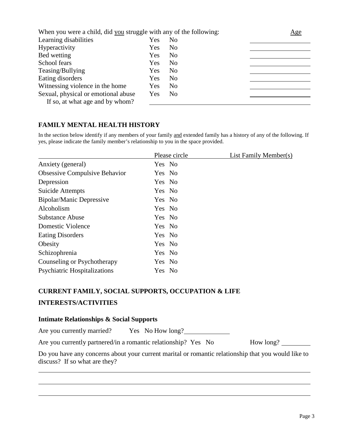| When you were a child, did you struggle with any of the following: | Age |                |  |
|--------------------------------------------------------------------|-----|----------------|--|
| Learning disabilities                                              | Yes | N <sub>0</sub> |  |
| Hyperactivity                                                      | Yes | N <sub>0</sub> |  |
| Bed wetting                                                        | Yes | N <sub>0</sub> |  |
| School fears                                                       | Yes | N <sub>0</sub> |  |
| Teasing/Bullying                                                   | Yes | N <sub>0</sub> |  |
| Eating disorders                                                   | Yes | N <sub>0</sub> |  |
| Witnessing violence in the home                                    | Yes | N <sub>0</sub> |  |
| Sexual, physical or emotional abuse                                | Yes | N <sub>0</sub> |  |
| If so, at what age and by whom?                                    |     |                |  |

## **FAMILY MENTAL HEALTH HISTORY**

In the section below identify if any members of your family and extended family has a history of any of the following. If yes, please indicate the family member's relationship to you in the space provided.

|                                      | Please circle | List Family Member(s) |
|--------------------------------------|---------------|-----------------------|
| Anxiety (general)                    | Yes No        |                       |
| <b>Obsessive Compulsive Behavior</b> | Yes No        |                       |
| Depression                           | Yes No        |                       |
| Suicide Attempts                     | Yes No        |                       |
| Bipolar/Manic Depressive             | Yes No        |                       |
| Alcoholism                           | Yes No        |                       |
| Substance Abuse                      | Yes No        |                       |
| Domestic Violence                    | Yes No        |                       |
| <b>Eating Disorders</b>              | Yes No        |                       |
| Obesity                              | Yes No        |                       |
| Schizophrenia                        | Yes No        |                       |
| Counseling or Psychotherapy          | Yes No        |                       |
| <b>Psychiatric Hospitalizations</b>  | Yes No        |                       |

## **CURRENT FAMILY, SOCIAL SUPPORTS, OCCUPATION & LIFE**

#### **INTERESTS/ACTIVITIES**

#### **Intimate Relationships & Social Supports**

Are you currently married? Yes No How long?

Are you currently partnered/in a romantic relationship? Yes No How long?

Do you have any concerns about your current marital or romantic relationship that you would like to discuss? If so what are they?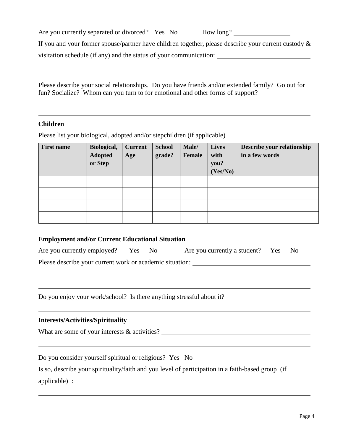Are you currently separated or divorced? Yes No How long?

If you and your former spouse/partner have children together, please describe your current custody & visitation schedule (if any) and the status of your communication:

Please describe your social relationships. Do you have friends and/or extended family? Go out for fun? Socialize? Whom can you turn to for emotional and other forms of support?

### **Children**

Please list your biological, adopted and/or stepchildren (if applicable)

| <b>First name</b> | Biological,<br><b>Adopted</b><br>or Step | <b>Current</b><br>Age | <b>School</b><br>grade? | Male/<br><b>Female</b> | <b>Lives</b><br>with<br>you?<br>(Yes/No) | Describe your relationship<br>in a few words |
|-------------------|------------------------------------------|-----------------------|-------------------------|------------------------|------------------------------------------|----------------------------------------------|
|                   |                                          |                       |                         |                        |                                          |                                              |
|                   |                                          |                       |                         |                        |                                          |                                              |
|                   |                                          |                       |                         |                        |                                          |                                              |
|                   |                                          |                       |                         |                        |                                          |                                              |

### **Employment and/or Current Educational Situation**

| Are you currently employed? Yes                          |  | Are you currently a student? Yes | - No |  |
|----------------------------------------------------------|--|----------------------------------|------|--|
| Please describe your current work or academic situation: |  |                                  |      |  |

Do you enjoy your work/school? Is there anything stressful about it?

### **Interests/Activities/Spirituality**

What are some of your interests & activities?

Do you consider yourself spiritual or religious? Yes No

Is so, describe your spirituality/faith and you level of participation in a faith-based group (if

applicable) :